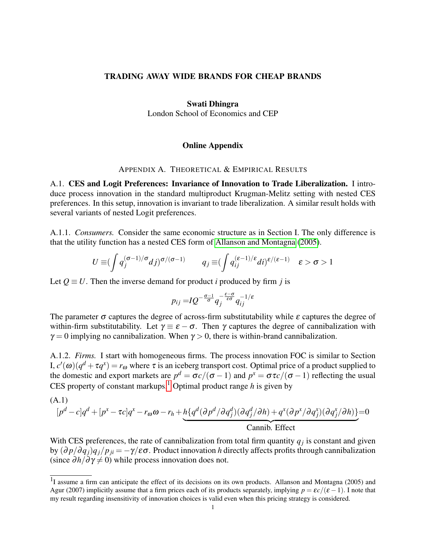## TRADING AWAY WIDE BRANDS FOR CHEAP BRANDS

### Swati Dhingra

London School of Economics and CEP

# Online Appendix

## APPENDIX A. THEORETICAL & EMPIRICAL RESULTS

A.1. CES and Logit Preferences: Invariance of Innovation to Trade Liberalization. I introduce process innovation in the standard multiproduct Krugman-Melitz setting with nested CES preferences. In this setup, innovation is invariant to trade liberalization. A similar result holds with several variants of nested Logit preferences.

A.1.1. *Consumers.* Consider the same economic structure as in Section I. The only difference is that the utility function has a nested CES form of [Allanson and Montagna](#page-4-0) [\(2005\)](#page-4-0).

$$
U \equiv (\int q_j^{(\sigma-1)/\sigma} dj)^{\sigma/(\sigma-1)} \qquad q_j \equiv (\int q_{ij}^{(\varepsilon-1)/\varepsilon} di)^{\varepsilon/(\varepsilon-1)} \quad \varepsilon > \sigma > 1
$$

Let  $Q \equiv U$ . Then the inverse demand for product *i* produced by firm *j* is

$$
p_{ij} = IQ^{-\frac{\sigma-1}{\sigma}} q_j^{-\frac{\varepsilon-\sigma}{\varepsilon\sigma}} q_{ij}^{-1/\varepsilon}
$$

The parameter  $\sigma$  captures the degree of across-firm substitutability while  $\varepsilon$  captures the degree of within-firm substitutability. Let  $\gamma \equiv \varepsilon - \sigma$ . Then  $\gamma$  captures the degree of cannibalization with  $\gamma = 0$  implying no cannibalization. When  $\gamma > 0$ , there is within-brand cannibalization.

A.1.2. *Firms.* I start with homogeneous firms. The process innovation FOC is similar to Section I,  $c'(\omega)(q^d + \tau q^x) = r_\omega$  where τ is an iceberg transport cost. Optimal price of a product supplied to the domestic and export markets are  $p^d = \frac{\sigma c}{(\sigma - 1)}$  and  $p^x = \frac{\sigma \tau c}{(\sigma - 1)}$  reflecting the usual CES property of constant markups.<sup>[1](#page-0-0)</sup> Optimal product range  $h$  is given by

(A.1)  
\n
$$
[pd - c]qd + [px - \tau c]qx - r\omega\omega - rh + h\{qd(\partial pd/\partial qdj)(\partial qdj/\partial h) + qx(\partial px/\partial qxj)(\partial qxj/\partial h)\} = 0
$$
  
\nCannib. Effect

With CES preferences, the rate of cannibalization from total firm quantity  $q_j$  is constant and given by  $(\partial p/\partial q_i)q_i/p_{ii} = -\gamma/\epsilon\sigma$ . Product innovation *h* directly affects profits through cannibalization (since  $\partial h / \partial \gamma \neq 0$ ) while process innovation does not.

<span id="page-0-0"></span> $1$ I assume a firm can anticipate the effect of its decisions on its own products. Allanson and Montagna (2005) and Agur (2007) implicitly assume that a firm prices each of its products separately, implying  $p = \varepsilon c/(\varepsilon - 1)$ . I note that my result regarding insensitivity of innovation choices is valid even when this pricing strategy is considered.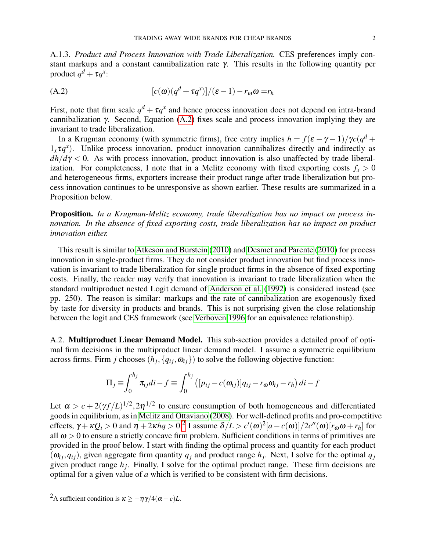A.1.3. *Product and Process Innovation with Trade Liberalization.* CES preferences imply constant markups and a constant cannibalization rate γ. This results in the following quantity per product  $q^d + \tau q^x$ :

<span id="page-1-0"></span>(A.2) 
$$
[c(\omega)(q^{d} + \tau q^{x})]/(\varepsilon - 1) - r_{\omega}\omega = r_{h}
$$

First, note that firm scale  $q^d + \tau q^x$  and hence process innovation does not depend on intra-brand cannibalization γ. Second, Equation  $(A.2)$  fixes scale and process innovation implying they are invariant to trade liberalization.

In a Krugman economy (with symmetric firms), free entry implies  $h = f(\varepsilon - \gamma - 1)/\gamma c(q^d +$  $1_x \tau q^x$ ). Unlike process innovation, product innovation cannibalizes directly and indirectly as  $dh/d\gamma < 0$ . As with process innovation, product innovation is also unaffected by trade liberalization. For completeness, I note that in a Melitz economy with fixed exporting costs  $f_x > 0$ and heterogeneous firms, exporters increase their product range after trade liberalization but process innovation continues to be unresponsive as shown earlier. These results are summarized in a Proposition below.

Proposition. *In a Krugman-Melitz economy, trade liberalization has no impact on process innovation. In the absence of fixed exporting costs, trade liberalization has no impact on product innovation either.*

This result is similar to [Atkeson and Burstein](#page-4-1) [\(2010\)](#page-4-1) and [Desmet and Parente](#page-4-2) [\(2010\)](#page-4-2) for process innovation in single-product firms. They do not consider product innovation but find process innovation is invariant to trade liberalization for single product firms in the absence of fixed exporting costs. Finally, the reader may verify that innovation is invariant to trade liberalization when the standard multiproduct nested Logit demand of [Anderson et al.](#page-4-3) [\(1992\)](#page-4-3) is considered instead (see pp. 250). The reason is similar: markups and the rate of cannibalization are exogenously fixed by taste for diversity in products and brands. This is not surprising given the close relationship between the logit and CES framework (see [Verboven 1996](#page-4-4) for an equivalence relationship).

A.2. Multiproduct Linear Demand Model. This sub-section provides a detailed proof of optimal firm decisions in the multiproduct linear demand model. I assume a symmetric equilibrium across firms. Firm *j* chooses  $(h_j, \{q_{ij}, \omega_{ij}\})$  to solve the following objective function:

$$
\Pi_j \equiv \int_0^{h_j} \pi_{ij} di - f \equiv \int_0^{h_j} ([p_{ij} - c(\omega_{ij})] q_{ij} - r_{\omega} \omega_{ij} - r_h) di - f
$$

Let  $\alpha > c + 2(\gamma f/L)^{1/2}$ ,  $2\eta^{1/2}$  to ensure consumption of both homogeneous and differentiated goods in equilibrium, as in [Melitz and Ottaviano](#page-4-5) [\(2008\)](#page-4-5). For well-defined profits and pro-competitive effects,  $\gamma + \kappa Q_i > 0$  and  $\eta + 2\kappa hq > 0$  $\eta + 2\kappa hq > 0$  $\eta + 2\kappa hq > 0$ .<sup>2</sup> I assume  $\delta/L > c'(\omega)^2 [a - c(\omega)]/2c''(\omega)[r_\omega\omega + r_h]$  for all  $\omega > 0$  to ensure a strictly concave firm problem. Sufficient conditions in terms of primitives are provided in the proof below. I start with finding the optimal process and quantity for each product  $(\omega_{ij}, q_{ij})$ , given aggregate firm quantity  $q_j$  and product range  $h_j$ . Next, I solve for the optimal  $q_j$ given product range *h<sup>j</sup>* . Finally, I solve for the optimal product range. These firm decisions are optimal for a given value of *a* which is verified to be consistent with firm decisions.

<span id="page-1-1"></span> $\sqrt{2A}$  sufficient condition is  $\kappa > -\eta \gamma/4(\alpha - c)L$ .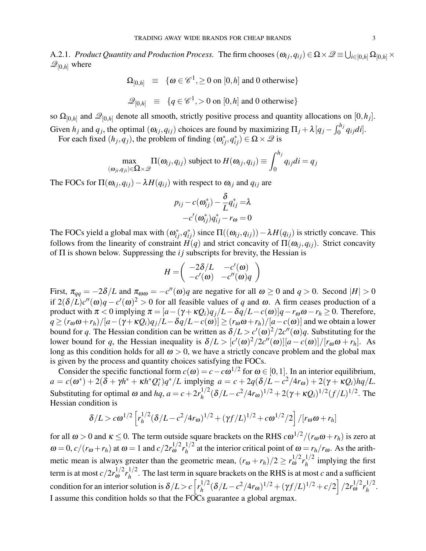A.2.1. *Product Quantity and Production Process.* The firm chooses  $(\omega_{ij},q_{ij})$   $\in \Omega\times\mathscr{Q}\equiv\bigcup_{i\in[0,h]}\Omega_{[0,h]}\times\mathscr{Q}$  $\mathscr{Q}_{[0,h]}$  where

 $\Omega_{[0,h]} \equiv \{ \omega \in \mathscr{C}^1, \geq 0 \text{ on } [0,h] \text{ and } 0 \text{ otherwise} \}$ 

$$
\mathcal{Q}_{[0,h]} \equiv \{q \in \mathscr{C}^1, >0 \text{ on } [0,h] \text{ and } 0 \text{ otherwise}\}
$$

so  $\Omega_{[0,h]}$  and  $\mathscr{Q}_{[0,h]}$  denote all smooth, strictly positive process and quantity allocations on  $[0,h_j]$ . Given  $h_j$  and  $q_j$ , the optimal  $(\omega_{ij}, q_{ij})$  choices are found by maximizing  $\Pi_j + \lambda [q_j - \int_0^{h_j} q_{ij}di]$ .

For each fixed  $(h_j, q_j)$ , the problem of finding  $(\omega_{ij}^*, q_{ij}^*) \in \Omega \times \mathcal{Q}$  is

$$
\max_{(\omega_{ji}, q_{ji}) \in \Omega \times \mathcal{Q}} \Pi(\omega_{ij}, q_{ij})
$$
 subject to  $H(\omega_{ij}, q_{ij}) \equiv \int_0^{h_j} q_{ij} di = q_j$ 

The FOCs for  $\Pi(\omega_{ij}, q_{ij}) - \lambda H(q_{ij})$  with respect to  $\omega_{ij}$  and  $q_{ij}$  are

$$
p_{ij} - c(\boldsymbol{\omega}_{ij}^*) - \frac{\delta}{L}q_{ij}^* = \lambda
$$

$$
-c'(\boldsymbol{\omega}_{ij}^*)q_{ij}^* - r_{\omega} = 0
$$

The FOCs yield a global max with  $(\omega_{ij}^*, q_{ij}^*)$  since  $\Pi((\omega_{ij}, q_{ij})) - \lambda H(q_{ij})$  is strictly concave. This follows from the linearity of constraint  $H(q)$  and strict concavity of  $\Pi(\omega_{ij}, q_{ij})$ . Strict concavity of Π is shown below. Suppressing the *i j* subscripts for brevity, the Hessian is

$$
H = \left( \begin{array}{cc} -2\delta/L & -c'(\omega) \\ -c'(\omega) & -c''(\omega)q \end{array} \right)
$$

First,  $\pi_{qq} = -2\delta/L$  and  $\pi_{\omega\omega} = -c''(\omega)q$  are negative for all  $\omega \ge 0$  and  $q > 0$ . Second  $|H| > 0$ if  $2(\delta/L)c''(\omega)q - c'(\omega)^2 > 0$  for all feasible values of *q* and  $\omega$ . A firm ceases production of a product with  $\pi < 0$  implying  $\pi = [a - (\gamma + \kappa Q_i)q_j/L - \delta q/L - c(\omega)]q - r_{\omega}\omega - r_h \ge 0$ . Therefore,  $q \ge (r_{\omega}\omega + r_h)/[a-(\gamma + \kappa Q_i)q_i/L-\delta q/L-c(\omega)] \ge (r_{\omega}\omega + r_h)/[a-c(\omega)]$  and we obtain a lower bound for *q*. The Hessian condition can be written as  $\delta/L > c'(\omega)^2/2c''(\omega)q$ . Substituting for the lower bound for *q*, the Hessian inequality is  $\delta/L > [c'(\omega)^2/2c''(\omega)][a - c(\omega)]/[r_{\omega}\omega + r_h]$ . As long as this condition holds for all  $\omega > 0$ , we have a strictly concave problem and the global max is given by the process and quantity choices satisfying the FOCs.

Consider the specific functional form  $c(\omega) = c - c\omega^{1/2}$  for  $\omega \in [0,1]$ . In an interior equilibrium,  $a = c(\omega^*) + 2(\delta + \gamma h^* + \kappa h^* Q_i^*)q^*/L$  implying  $a = c + 2q(\delta/L - c^2/4r_\omega) + 2(\gamma + \kappa Q_i)hq/L$ . Substituting for optimal  $\omega$  and  $hq$ ,  $a = c + 2r_h^{1/2}$  $h_h^{1/2}$ (δ/*L*−*c*<sup>2</sup>/4*r*<sub>ω</sub>)<sup>1/2</sup> + 2(γ + κ*Qi*)<sup>1/2</sup>(*f*/*L*)<sup>1/2</sup>. The Hessian condition is

$$
\delta/L > c\omega^{1/2} \left[ r_h^{1/2} (\delta/L - c^2/4r_\omega)^{1/2} + (\gamma f/L)^{1/2} + c\omega^{1/2}/2 \right] / [r_\omega \omega + r_h]
$$

for all  $\omega > 0$  and  $\kappa \le 0$ . The term outside square brackets on the RHS  $c\omega^{1/2}/(r_{\omega}\omega + r_h)$  is zero at  $ω = 0, c/(r<sub>ω</sub> + r<sub>h</sub>)$  at  $ω = 1$  and  $c/2r<sub>ω</sub><sup>1/2</sup> r<sub>h</sub><sup>1/2</sup>$  $h_h^{1/2}$  at the interior critical point of  $\omega = r_h/r_\omega$ . As the arithmetic mean is always greater than the geometric mean,  $(r_{\omega} + r_h)/2 \ge r_{\omega}^{1/2} r_h^{1/2}$  $\int_{h}^{1/2}$  implying the first term is at most  $c/2r_{\omega}^{1/2}r_h^{1/2}$  $h_h^{1/2}$ . The last term in square brackets on the RHS is at most *c* and a sufficient condition for an interior solution is  $\delta/L > c \left[ r_h^{1/2} \right]$  $\int_{h}^{1/2} (\delta/L - c^2/4r_{\omega})^{1/2} + (\gamma f/L)^{1/2} + c/2 \left[ \frac{2r_{\omega}^{1/2}r_{h}^{1/2}}{r_{\omega}^{1/2}} \right]$  $\frac{1}{2}$ . I assume this condition holds so that the FOCs guarantee a global argmax.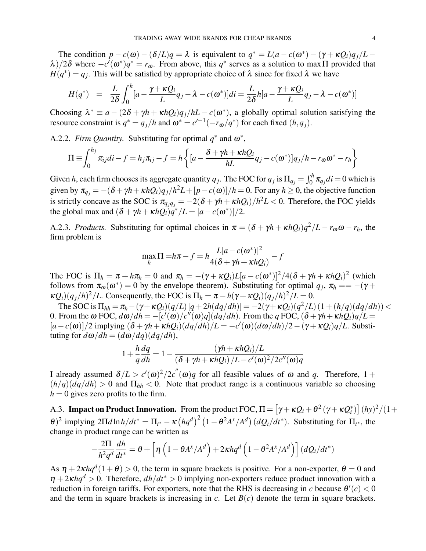The condition  $p - c(\omega) - (\delta/L)q = \lambda$  is equivalent to  $q^* = L(a - c(\omega^*) - (\gamma + \kappa Q_i)q_j/L$ λ)/2δ where  $-c^7(\omega^*)q^* = r_\omega$ . From above, this  $q^*$  serves as a solution to maxΠ provided that  $H(q^*) = q_j$ . This will be satisfied by appropriate choice of  $\lambda$  since for fixed  $\lambda$  we have

$$
H(q^*) = \frac{L}{2\delta} \int_0^h [a - \frac{\gamma + \kappa Q_i}{L} q_j - \lambda - c(\omega^*)]di = \frac{L}{2\delta} h[a - \frac{\gamma + \kappa Q_i}{L} q_j - \lambda - c(\omega^*)]
$$

Choosing  $\lambda^* \equiv a - (2\delta + \gamma h + \kappa hQ_i)q_j/hL - c(\omega^*)$ , a globally optimal solution satisfying the resource constraint is  $q^* = q_j/h$  and  $\omega^* = c'^{-1}(-r_\omega/q^*)$  for each fixed  $(h, q_j)$ .

A.2.2. *Firm Quantity*. Substituting for optimal  $q^*$  and  $\omega^*$ ,

$$
\Pi \equiv \int_0^{h_j} \pi_{ij} di - f = h_j \pi_{ij} - f = h \left\{ \left[ a - \frac{\delta + \gamma h + \kappa h Q_i}{h L} q_j - c(\omega^*) \right] q_j / h - r_\omega \omega^* - r_h \right\}
$$

Given *h*, each firm chooses its aggregate quantity  $q_j$ . The FOC for  $q_j$  is  $\Pi_{q_j} = \int_0^h \pi_{q_j} di = 0$  which is given by  $\pi_{q_j} = -(\delta + \gamma h + \kappa hQ_i)q_j/h^2L + [p - c(\omega)]/h = 0$ . For any  $h \ge 0$ , the objective function is strictly concave as the SOC is  $\pi_{q_j q_j} = -2(\delta + \gamma h + \kappa hQ_i)/h^2 L < 0$ . Therefore, the FOC yields the global max and  $(\delta + \gamma h + \kappa h Q_i) \dot{q}^*/L = [a - c(\omega^*)]/2$ .

A.2.3. *Products.* Substituting for optimal choices in  $\pi = (\delta + \gamma h + \kappa hQ_i)q^2/L - r_{\omega}\omega - r_h$ , the firm problem is

$$
\max_{h} \Pi = h\pi - f = h \frac{L[a - c(\omega^*)]^2}{4(\delta + \gamma h + \kappa hQ_i)} - f
$$

The FOC is  $\Pi_h = \pi + h\pi_h = 0$  and  $\pi_h = -(\gamma + \kappa Q_i)L[a - c(\omega^*)]^2/4(\delta + \gamma h + \kappa hQ_i)^2$  (which follows from  $\pi_{\omega}(\omega^*) = 0$  by the envelope theorem). Substituting for optimal  $q_j$ ,  $\pi_h = -(\gamma +$  $\kappa Q_i$ ) $\left(\frac{q_j}{h}\right)^2$ /*L*. Consequently, the FOC is  $\Pi_h = \pi - h(\gamma + \kappa Q_i)(q_j/h)^2$ /*L* = 0.

The SOC is  $\Pi_{hh} = \pi_h - (\gamma + \kappa Q_i)(q/L)[q + 2h(dq/dh)] = -2(\gamma + \kappa Q_i)(q^2/L)(1 + (h/q)(dq/dh))$  < 0. From the  $\omega$  FOC,  $d\omega/dh = -\left[c'(\omega)/c''(\omega)q\right](dq/dh)$ . From the *q* FOC,  $(\delta + \gamma h + \kappa hQ_i)q/L =$  $[a - c(\omega)]/2$  implying  $(\delta + \gamma h + \kappa hQ_i)(dq/dh)/L = -c'(\omega)(d\omega/dh)/2 - (\gamma + \kappa Q_i)q/L$ . Substituting for  $d\omega/dh = (d\omega/dq)(dq/dh)$ ,

$$
1 + \frac{h}{q}\frac{dq}{dh} = 1 - \frac{(\gamma h + \kappa hQ_i)/L}{(\delta + \gamma h + \kappa hQ_i)/L - c'(\omega)^2/2c''(\omega)q}
$$

I already assumed  $\delta/L > c'(\omega)^2/2c''(\omega)q$  for all feasible values of  $\omega$  and  $q$ . Therefore, 1 +  $(h/q)(dq/dh) > 0$  and  $\Pi_{hh} < 0$ . Note that product range is a continuous variable so choosing  $h = 0$  gives zero profits to the firm.

A.3. **Impact on Product Innovation.** From the product FOC,  $\Pi = [\gamma + \kappa Q_i + \theta^2 (\gamma + \kappa Q_i^*)] (h y)^2/(1 +$ *θ*)<sup>2</sup> implying 2Π*d* ln*h*/*dt*<sup>\*</sup> = Π<sub>*t*<sup>\*</sup> − κ (*hq<sup>d</sup>*)<sup>2</sup> (1 − *θ*<sup>2</sup>*A*<sup>*x*</sup>/*A<sup>d</sup>)</sub> (<i>dQ<sub>i</sub>*/*dt*<sup>\*</sup>). Substituting for Π<sub>*t*<sup>\*</sup>, the</sub></sub> change in product range can be written as

$$
-\frac{2\Pi}{h^2q^d}\frac{dh}{dt^*} = \theta + \left[\eta\left(1-\theta A^x/A^d\right) + 2\kappa hq^d\left(1-\theta^2A^x/A^d\right)\right](dQ_i/dt^*)
$$

As  $\eta + 2\kappa hq^d(1+\theta) > 0$ , the term in square brackets is positive. For a non-exporter,  $\theta = 0$  and  $\eta + 2 \kappa h q^d > 0$ . Therefore,  $dh/dt^* > 0$  implying non-exporters reduce product innovation with a reduction in foreign tariffs. For exporters, note that the RHS is decreasing in *c* because  $\theta'(c) < 0$ and the term in square brackets is increasing in  $c$ . Let  $B(c)$  denote the term in square brackets.